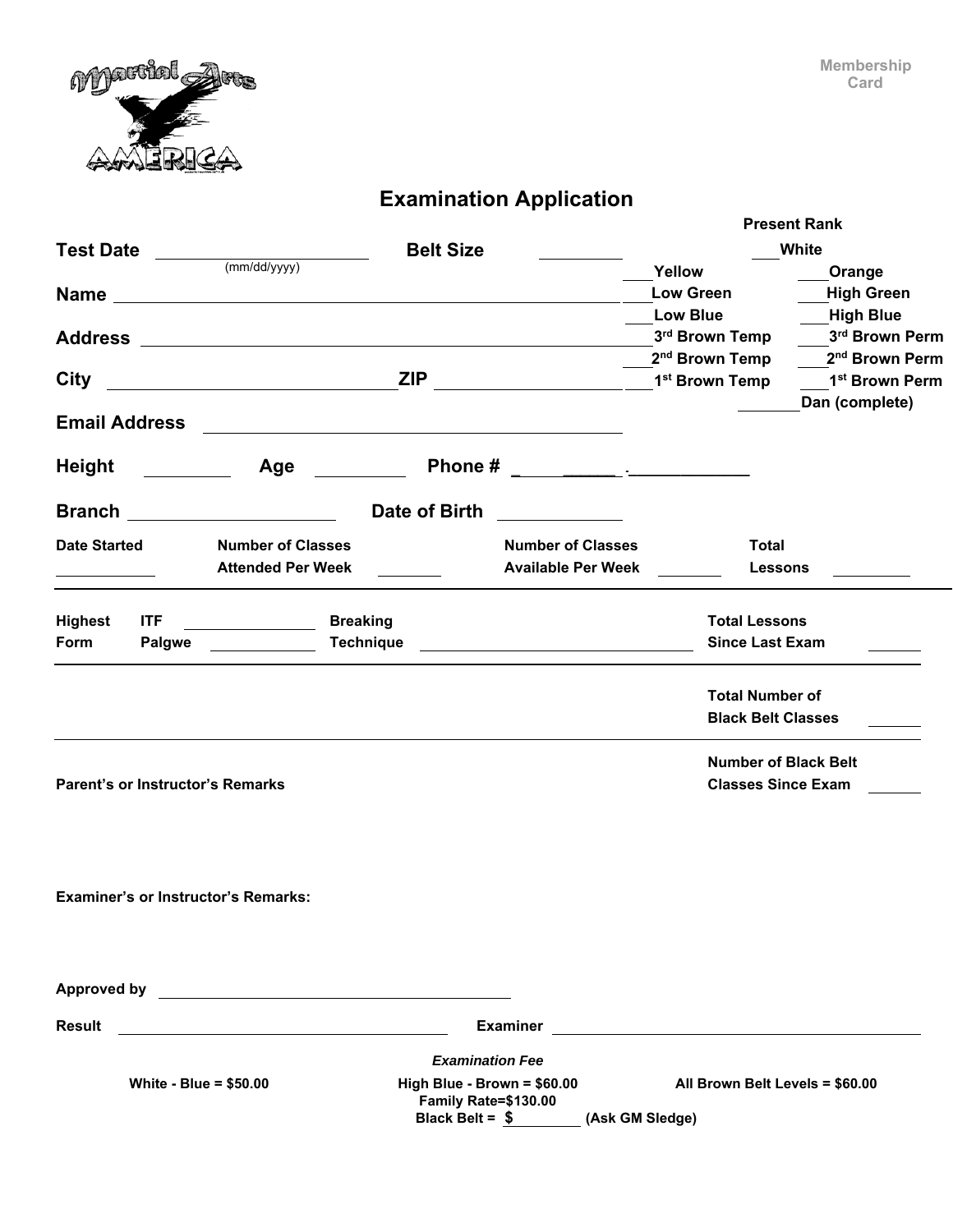

## **Examination Application**

| <b>Belt Size</b><br>White<br><b>Test Date</b><br>(mm/dd/yyyy)<br>Yellow<br><b>Low Green</b><br><b>Low Blue</b><br>3rd Brown Temp<br>2 <sup>nd</sup> Brown Temp<br>1 <sup>st</sup> Brown Temp<br><b>City</b><br>Dan (complete)<br><b>Email Address</b><br><u> 1980 - Johann Barbara, martxa alemaniar amerikan a</u><br>Height<br>Age<br>and the state of the state. | Orange<br><b>High Green</b><br><b>High Blue</b><br>3rd Brown Perm<br>2 <sup>nd</sup> Brown Perm<br>1 <sup>st</sup> Brown Perm |
|---------------------------------------------------------------------------------------------------------------------------------------------------------------------------------------------------------------------------------------------------------------------------------------------------------------------------------------------------------------------|-------------------------------------------------------------------------------------------------------------------------------|
|                                                                                                                                                                                                                                                                                                                                                                     |                                                                                                                               |
|                                                                                                                                                                                                                                                                                                                                                                     |                                                                                                                               |
|                                                                                                                                                                                                                                                                                                                                                                     |                                                                                                                               |
|                                                                                                                                                                                                                                                                                                                                                                     |                                                                                                                               |
|                                                                                                                                                                                                                                                                                                                                                                     |                                                                                                                               |
|                                                                                                                                                                                                                                                                                                                                                                     |                                                                                                                               |
|                                                                                                                                                                                                                                                                                                                                                                     |                                                                                                                               |
|                                                                                                                                                                                                                                                                                                                                                                     |                                                                                                                               |
|                                                                                                                                                                                                                                                                                                                                                                     |                                                                                                                               |
| Date of Birth<br>Branch                                                                                                                                                                                                                                                                                                                                             |                                                                                                                               |
| <b>Number of Classes</b><br><b>Number of Classes</b><br><b>Date Started</b><br>Total                                                                                                                                                                                                                                                                                |                                                                                                                               |
| <b>Attended Per Week</b><br><b>Available Per Week</b><br>Lessons<br><u>and the state of the state</u>                                                                                                                                                                                                                                                               |                                                                                                                               |
|                                                                                                                                                                                                                                                                                                                                                                     |                                                                                                                               |
| <b>ITF</b><br><b>Breaking</b><br><b>Highest</b><br><b>Total Lessons</b>                                                                                                                                                                                                                                                                                             |                                                                                                                               |
| <b>Technique</b><br><b>Since Last Exam</b><br><b>Form</b><br><b>Palgwe</b>                                                                                                                                                                                                                                                                                          |                                                                                                                               |
|                                                                                                                                                                                                                                                                                                                                                                     |                                                                                                                               |
| <b>Total Number of</b>                                                                                                                                                                                                                                                                                                                                              |                                                                                                                               |
| <b>Black Belt Classes</b>                                                                                                                                                                                                                                                                                                                                           |                                                                                                                               |
|                                                                                                                                                                                                                                                                                                                                                                     |                                                                                                                               |
| <b>Number of Black Belt</b>                                                                                                                                                                                                                                                                                                                                         |                                                                                                                               |
| <b>Parent's or Instructor's Remarks</b><br><b>Classes Since Exam</b>                                                                                                                                                                                                                                                                                                |                                                                                                                               |
|                                                                                                                                                                                                                                                                                                                                                                     |                                                                                                                               |
|                                                                                                                                                                                                                                                                                                                                                                     |                                                                                                                               |
|                                                                                                                                                                                                                                                                                                                                                                     |                                                                                                                               |
|                                                                                                                                                                                                                                                                                                                                                                     |                                                                                                                               |
| <b>Examiner's or Instructor's Remarks:</b>                                                                                                                                                                                                                                                                                                                          |                                                                                                                               |
|                                                                                                                                                                                                                                                                                                                                                                     |                                                                                                                               |
|                                                                                                                                                                                                                                                                                                                                                                     |                                                                                                                               |
|                                                                                                                                                                                                                                                                                                                                                                     |                                                                                                                               |
| <b>Approved by</b><br><u>and the community of the community of the community of the community of the community of the community of the community of the community of the community of the community of the community of the community of the community</u>                                                                                                          |                                                                                                                               |
| <b>Result</b><br><b>Examiner</b>                                                                                                                                                                                                                                                                                                                                    |                                                                                                                               |
| <b>Examination Fee</b>                                                                                                                                                                                                                                                                                                                                              |                                                                                                                               |
| High Blue - Brown = \$60.00<br>White - Blue = $$50.00$<br>All Brown Belt Levels = \$60.00<br>Family Rate=\$130.00<br>Black Belt = \$ (Ask GM Sledge)                                                                                                                                                                                                                |                                                                                                                               |